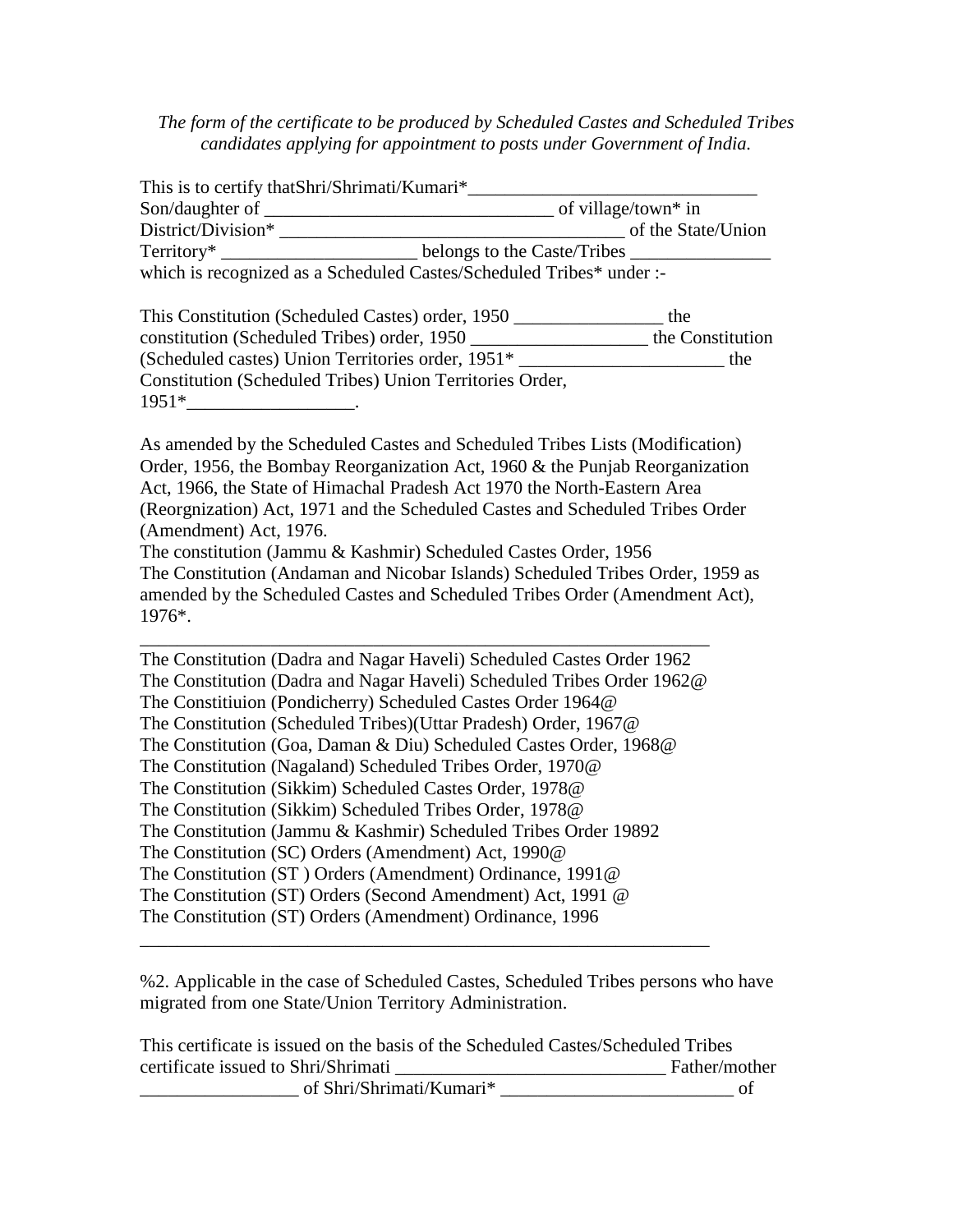## *The form of the certificate to be produced by Scheduled Castes and Scheduled Tribes candidates applying for appointment to posts under Government of India.*

| Territory* _______________________belongs to the Caste/Tribes ___________________ |
|-----------------------------------------------------------------------------------|
|                                                                                   |
|                                                                                   |
|                                                                                   |
| which is recognized as a Scheduled Castes/Scheduled Tribes* under :-              |
| This Constitution (Scheduled Castes) order, 1950 ________________ the             |
|                                                                                   |
|                                                                                   |
|                                                                                   |
|                                                                                   |
|                                                                                   |
| As amended by the Scheduled Castes and Scheduled Tribes Lists (Modification)      |
| Order, 1956, the Bombay Reorganization Act, 1960 & the Punjab Reorganization      |
| Act, 1966, the State of Himachal Pradesh Act 1970 the North-Eastern Area          |
| (Reorgnization) Act, 1971 and the Scheduled Castes and Scheduled Tribes Order     |
|                                                                                   |
| The constitution (Jammu & Kashmir) Scheduled Castes Order, 1956                   |
| The Constitution (Andaman and Nicobar Islands) Scheduled Tribes Order, 1959 as    |
| amended by the Scheduled Castes and Scheduled Tribes Order (Amendment Act),       |
|                                                                                   |
| The Constitution (Dadra and Nagar Haveli) Scheduled Castes Order 1962             |
| The Constitution (Dadra and Nagar Haveli) Scheduled Tribes Order 1962@            |
| The Constitiuion (Pondicherry) Scheduled Castes Order 1964@                       |
| The Constitution (Scheduled Tribes)(Uttar Pradesh) Order, 1967@                   |
| The Constitution (Goa, Daman & Diu) Scheduled Castes Order, 1968@                 |
| The Constitution (Nagaland) Scheduled Tribes Order, 1970@                         |
|                                                                                   |
|                                                                                   |
| The Constitution (Jammu & Kashmir) Scheduled Tribes Order 19892                   |
|                                                                                   |
| The Constitution (ST) Orders (Amendment) Ordinance, 1991@                         |
| The Constitution (ST) Orders (Second Amendment) Act, 1991 @                       |
| The Constitution (ST) Orders (Amendment) Ordinance, 1996                          |
|                                                                                   |

%2. Applicable in the case of Scheduled Castes, Scheduled Tribes persons who have migrated from one State/Union Territory Administration.

This certificate is issued on the basis of the Scheduled Castes/Scheduled Tribes certificate issued to Shri/Shrimati \_\_\_\_\_\_\_\_\_\_\_\_\_\_\_\_\_\_\_\_\_\_\_\_\_\_\_\_\_ Father/mother \_\_\_\_\_\_\_\_\_\_\_\_\_\_\_\_\_ of Shri/Shrimati/Kumari\* \_\_\_\_\_\_\_\_\_\_\_\_\_\_\_\_\_\_\_\_\_\_\_\_\_ of